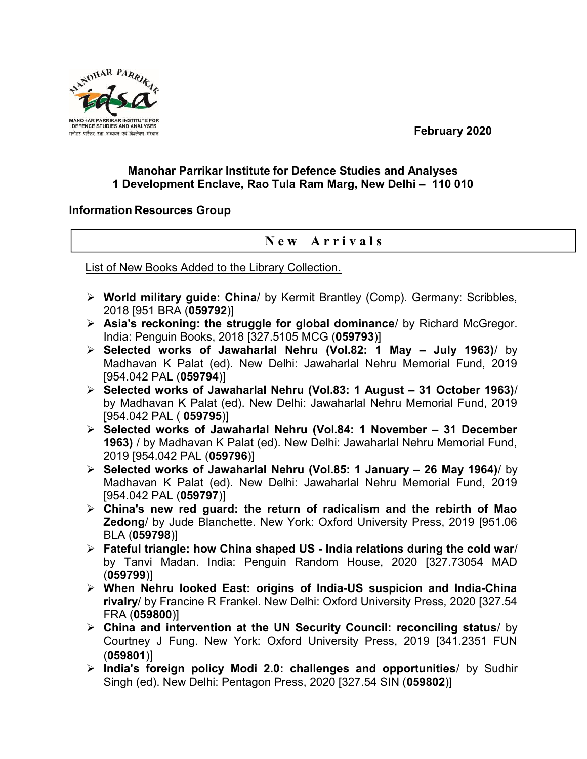February 2020



## Manohar Parrikar Institute for Defence Studies and Analyses 1 Development Enclave, Rao Tula Ram Marg, New Delhi – 110 010

## Information Resources Group

## New Arrivals

List of New Books Added to the Library Collection.

- ▶ World military guide: China/ by Kermit Brantley (Comp). Germany: Scribbles, 2018 [951 BRA (059792)]
- Asia's reckoning: the struggle for global dominance/ by Richard McGregor. India: Penguin Books, 2018 [327.5105 MCG (059793)]
- $\triangleright$  Selected works of Jawaharlal Nehru (Vol.82: 1 May July 1963)/ by Madhavan K Palat (ed). New Delhi: Jawaharlal Nehru Memorial Fund, 2019 [954.042 PAL (059794)]
- $\triangleright$  Selected works of Jawaharlal Nehru (Vol.83: 1 August 31 October 1963)/ by Madhavan K Palat (ed). New Delhi: Jawaharlal Nehru Memorial Fund, 2019 [954.042 PAL ( 059795)]
- $\triangleright$  Selected works of Jawaharlal Nehru (Vol.84: 1 November 31 December 1963) / by Madhavan K Palat (ed). New Delhi: Jawaharlal Nehru Memorial Fund, 2019 [954.042 PAL (059796)]
- $\triangleright$  Selected works of Jawaharlal Nehru (Vol.85: 1 January 26 May 1964)/ by Madhavan K Palat (ed). New Delhi: Jawaharlal Nehru Memorial Fund, 2019 [954.042 PAL (059797)]
- $\triangleright$  China's new red guard: the return of radicalism and the rebirth of Mao Zedong/ by Jude Blanchette. New York: Oxford University Press, 2019 [951.06 BLA (059798)]
- $\triangleright$  Fateful triangle: how China shaped US India relations during the cold war/ by Tanvi Madan. India: Penguin Random House, 2020 [327.73054 MAD (059799)]
- When Nehru looked East: origins of India-US suspicion and India-China rivalry/ by Francine R Frankel. New Delhi: Oxford University Press, 2020 [327.54 FRA (059800)]
- $\triangleright$  China and intervention at the UN Security Council: reconciling status/ by Courtney J Fung. New York: Oxford University Press, 2019 [341.2351 FUN (059801)]
- $\triangleright$  India's foreign policy Modi 2.0: challenges and opportunities/ by Sudhir Singh (ed). New Delhi: Pentagon Press, 2020 [327.54 SIN (059802)]